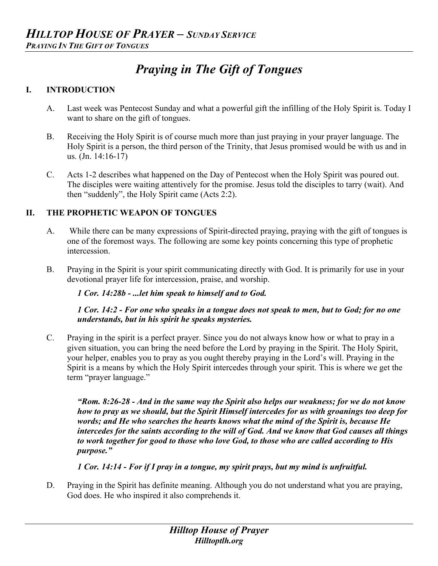# *Praying in The Gift of Tongues*

### **I. INTRODUCTION**

- A. Last week was Pentecost Sunday and what a powerful gift the infilling of the Holy Spirit is. Today I want to share on the gift of tongues.
- B. Receiving the Holy Spirit is of course much more than just praying in your prayer language. The Holy Spirit is a person, the third person of the Trinity, that Jesus promised would be with us and in us. (Jn. 14:16-17)
- C. Acts 1-2 describes what happened on the Day of Pentecost when the Holy Spirit was poured out. The disciples were waiting attentively for the promise. Jesus told the disciples to tarry (wait). And then "suddenly", the Holy Spirit came (Acts 2:2).

## **II. THE PROPHETIC WEAPON OF TONGUES**

- A. While there can be many expressions of Spirit-directed praying, praying with the gift of tongues is one of the foremost ways. The following are some key points concerning this type of prophetic intercession.
- B. Praying in the Spirit is your spirit communicating directly with God. It is primarily for use in your devotional prayer life for intercession, praise, and worship.

#### *1 Cor. 14:28b - ...let him speak to himself and to God.*

*1 Cor. 14:2 - For one who speaks in a tongue does not speak to men, but to God; for no one understands, but in his spirit he speaks mysteries.*

C. Praying in the spirit is a perfect prayer. Since you do not always know how or what to pray in a given situation, you can bring the need before the Lord by praying in the Spirit. The Holy Spirit, your helper, enables you to pray as you ought thereby praying in the Lord's will. Praying in the Spirit is a means by which the Holy Spirit intercedes through your spirit. This is where we get the term "prayer language."

*"Rom. 8:26-28 - And in the same way the Spirit also helps our weakness; for we do not know how to pray as we should, but the Spirit Himself intercedes for us with groanings too deep for words; and He who searches the hearts knows what the mind of the Spirit is, because He intercedes for the saints according to the will of God. And we know that God causes all things to work together for good to those who love God, to those who are called according to His purpose."*

*1 Cor. 14:14 - For if I pray in a tongue, my spirit prays, but my mind is unfruitful.*

D. Praying in the Spirit has definite meaning. Although you do not understand what you are praying, God does. He who inspired it also comprehends it.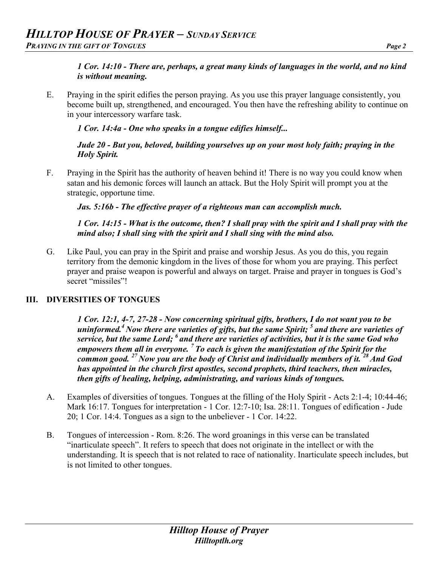## *1 Cor. 14:10 - There are, perhaps, a great many kinds of languages in the world, and no kind is without meaning.*

E. Praying in the spirit edifies the person praying. As you use this prayer language consistently, you become built up, strengthened, and encouraged. You then have the refreshing ability to continue on in your intercessory warfare task.

*1 Cor. 14:4a - One who speaks in a tongue edifies himself...*

*Jude 20 - But you, beloved, building yourselves up on your most holy faith; praying in the Holy Spirit.*

F. Praying in the Spirit has the authority of heaven behind it! There is no way you could know when satan and his demonic forces will launch an attack. But the Holy Spirit will prompt you at the strategic, opportune time.

*Jas. 5:16b - The effective prayer of a righteous man can accomplish much.*

*1 Cor. 14:15 - What is the outcome, then? I shall pray with the spirit and I shall pray with the mind also; I shall sing with the spirit and I shall sing with the mind also.*

G. Like Paul, you can pray in the Spirit and praise and worship Jesus. As you do this, you regain territory from the demonic kingdom in the lives of those for whom you are praying. This perfect prayer and praise weapon is powerful and always on target. Praise and prayer in tongues is God's secret "missiles"!

## **III. DIVERSITIES OF TONGUES**

*1 Cor. 12:1, 4-7, 27-28 - Now concerning spiritual gifts, brothers, I do not want you to be uninformed.4 Now there are varieties of gifts, but the same Spirit; <sup>5</sup> and there are varieties of service, but the same Lord; <sup>6</sup> and there are varieties of activities, but it is the same God who empowers them all in everyone. <sup>7</sup> To each is given the manifestation of the Spirit for the common good. <sup>27</sup> Now you are the body of Christ and individually members of it. <sup>28</sup> And God has appointed in the church first apostles, second prophets, third teachers, then miracles, then gifts of healing, helping, administrating, and various kinds of tongues.*

- A. Examples of diversities of tongues. Tongues at the filling of the Holy Spirit Acts 2:1-4; 10:44-46; Mark 16:17. Tongues for interpretation - 1 Cor. 12:7-10; Isa. 28:11. Tongues of edification - Jude 20; 1 Cor. 14:4. Tongues as a sign to the unbeliever - 1 Cor. 14:22.
- B. Tongues of intercession Rom. 8:26. The word groanings in this verse can be translated "inarticulate speech". It refers to speech that does not originate in the intellect or with the understanding. It is speech that is not related to race of nationality. Inarticulate speech includes, but is not limited to other tongues.